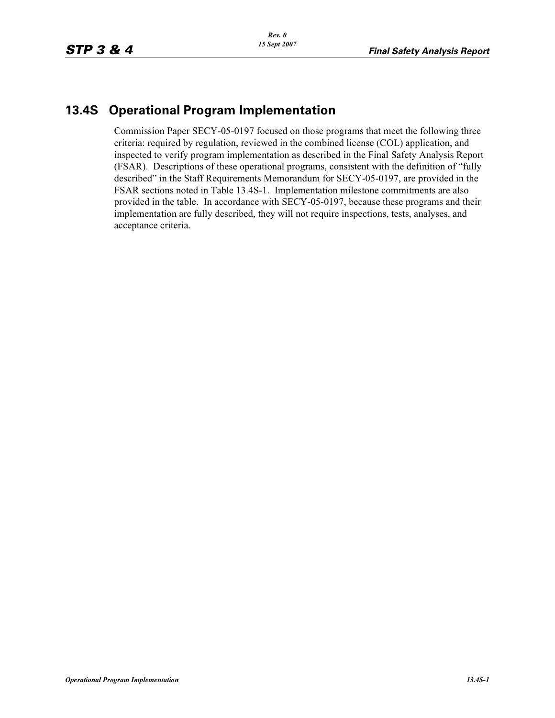## **13.4S Operational Program Implementation**

Commission Paper SECY-05-0197 focused on those programs that meet the following three criteria: required by regulation, reviewed in the combined license (COL) application, and inspected to verify program implementation as described in the Final Safety Analysis Report (FSAR). Descriptions of these operational programs, consistent with the definition of "fully described" in the Staff Requirements Memorandum for SECY-05-0197, are provided in the FSAR sections noted in Table 13.4S-1. Implementation milestone commitments are also provided in the table. In accordance with SECY-05-0197, because these programs and their implementation are fully described, they will not require inspections, tests, analyses, and acceptance criteria.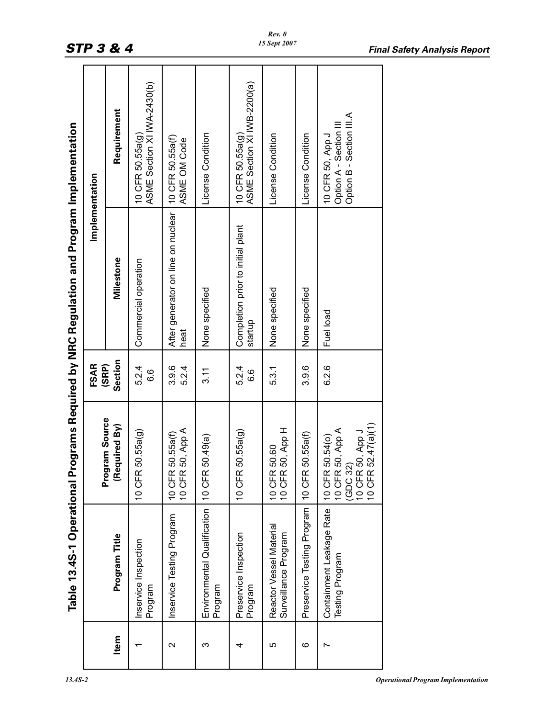|                                                                | Implementation       | Requirement                    | ASME Section XI IVA-2430(b)<br>$10$ CFR 50.55 $a$ (g) | 10 CFR 50.55a(f)<br>ASME OM Code           | License Condition                      | ASME Section XI IV/B-2200(a)<br>$10$ CFR 50.55a(g) | License Condition                               | License Condition          | Option B - Section III.A<br>Option A - Section II<br>10 CFR 50, App J                       |
|----------------------------------------------------------------|----------------------|--------------------------------|-------------------------------------------------------|--------------------------------------------|----------------------------------------|----------------------------------------------------|-------------------------------------------------|----------------------------|---------------------------------------------------------------------------------------------|
| Programs Required by NRC Regulation and Program Implementation |                      | Milestone                      | Commercial operation                                  | After generator on line on nuclear<br>heat | None specified                         | Completion prior to initial plant<br>startup       | None specified                                  | None specified             | Fuel load                                                                                   |
|                                                                | <b>FSAR</b><br>(SRP) | Section                        | 5.24<br>6.6                                           | 3.9.6<br>5.2.4                             | 3.11                                   | 5.2.4<br><u>၀</u><br>ဝ                             | 5.3.1                                           | 3.9.6                      | 6.2.6                                                                                       |
|                                                                |                      | Program Source<br>Required By) | 10 CFR 50.55a(g)                                      | 10 CFR 50.55a(f)<br>10 CFR 50, App A       | 10 CFR 50.49(a)                        | 10 CFR 50.55a(g)                                   | 10 CFR 50, App H<br>10 CFR 50.60                | 10 CFR 50.55a(f)           | 10 CFR 52.47(a)(1)<br>10 CFR 50, App A<br>10 CFR 50, App J<br>10 CFR 50.54(o)<br>32<br>(GDC |
| Table 13.4S-1 Operational                                      |                      | Program Title                  | Inservice Inspection<br>Program                       | Inservice Testing Program                  | Environmental Qualification<br>Program | Preservice Inspection<br>Program                   | Reactor Vessel Material<br>Surveillance Program | Preservice Testing Program | Containment Leakage Rate<br>Testing Program                                                 |
|                                                                |                      | Item                           |                                                       | $\mathbf{\Omega}$                          | ς                                      | 4                                                  | 5                                               | ဖ                          |                                                                                             |

┯

 $\top$ 

т

┯

┱

Г

т

┯

т

T.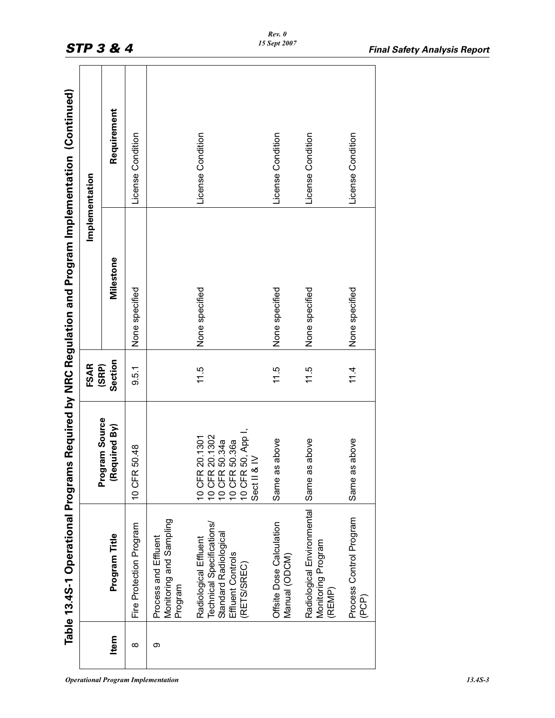| Implementation | Requirement                     | License Condition       |                                                            | License Condition                                                                                                         | License Condition                         | License Condition                                          | License Condition                |
|----------------|---------------------------------|-------------------------|------------------------------------------------------------|---------------------------------------------------------------------------------------------------------------------------|-------------------------------------------|------------------------------------------------------------|----------------------------------|
|                | Milestone                       | None specified          |                                                            | None specified                                                                                                            | None specified                            | None specified                                             | None specified                   |
| <b>FSAR</b>    | Section<br>(SRP)                | 9.5.1                   |                                                            | 11.5                                                                                                                      | 11.5                                      | 11.5                                                       | 11.4                             |
|                | Program Source<br>(Required By) | 10 CFR 50.48            |                                                            | 10 CFR 20.1302<br>10 CFR 50.34a<br>10 CFR 50.36a<br>10 CFR 50, App I,<br>Sect II & IV<br>10 CFR 20.1301<br>10 CFR 20.1302 | Same as above                             | Same as above                                              | Same as above                    |
|                | Program Title                   | Fire Protection Program | Monitoring and Sampling<br>Process and Effluent<br>Program | Technical Specifications/<br>Standard Radiological<br>Radiological Effluent<br><b>Effluent Controls</b><br>(RETS/SREC)    | Offsite Dose Calculation<br>Manual (ODCM) | Radiological Environmental<br>Monitoring Program<br>(REMP) | Process Control Program<br>(PCP) |
|                | Item                            | $\infty$                | თ                                                          |                                                                                                                           |                                           |                                                            |                                  |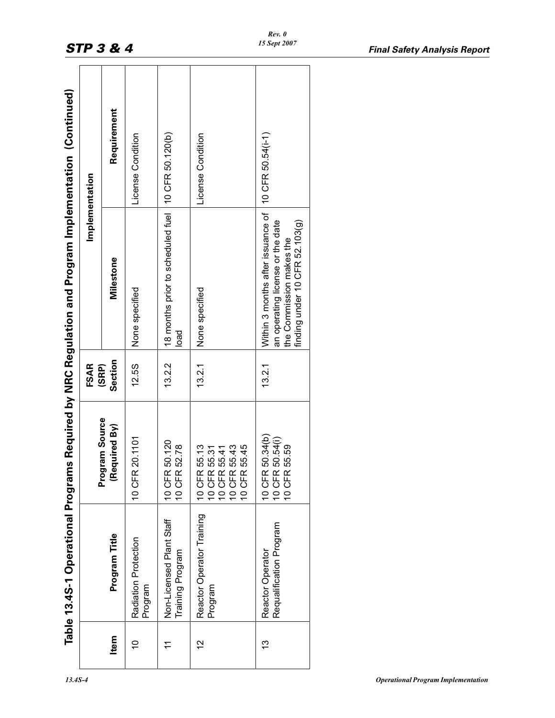|                                                                      | Implementation | Requirement                     | License Condition               | 10 CFR 50.120(b)                             | License Condition                                                            |                                                                                                                                                          |
|----------------------------------------------------------------------|----------------|---------------------------------|---------------------------------|----------------------------------------------|------------------------------------------------------------------------------|----------------------------------------------------------------------------------------------------------------------------------------------------------|
| ms Required by NRC Regulation and Program Implementation (Continued) |                | Milestone                       | None specified                  | 18 months prior to scheduled fuel<br>load    | None specified                                                               | Within 3 months after issuance of 10 CFR 50.54(i-1)<br>an operating license or the date<br>finding under 10 CFR 52.103 $(g)$<br>the Commission makes the |
|                                                                      | <b>FSAR</b>    | Section<br>(SRP)                | 12.5S                           | 13.2.2                                       | 13.2.1                                                                       | 13.2.1                                                                                                                                                   |
|                                                                      |                | Program Source<br>(Required By) | 10 CFR 20.1101                  | 10 CFR 50.120<br>10 CFR 52.78                | 10 CFR 55.13<br>10 CFR 55.43<br>10 CFR 55.45<br>10 CFR 55.31<br>10 CFR 55.41 | 10 CFR 50.34(b)<br>10 CFR 50.54(i)<br>10 CFR 55.59                                                                                                       |
| Table 13.4S-1 Operational Progran                                    |                | Program Title                   | Radiation Protection<br>Program | Non-Licensed Plant Staff<br>Training Program | Reactor Operator Training<br>Program                                         | Requalification Program<br>Reactor Operator                                                                                                              |
|                                                                      |                | Item                            | $\frac{1}{2}$                   |                                              | $\frac{2}{3}$                                                                | <u>ო</u>                                                                                                                                                 |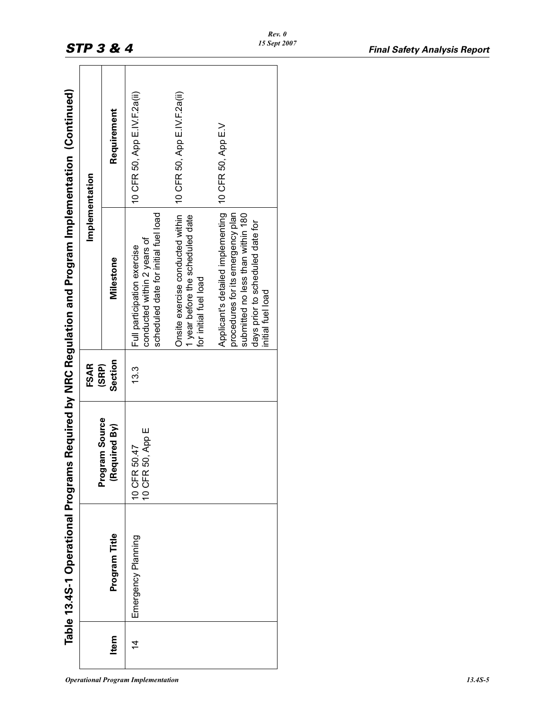| -<br>-<br>-                                   |      |
|-----------------------------------------------|------|
| NRC Regulation and Program Implementation (Cr | ٢    |
|                                               | FSAR |
| ams Required by N                             |      |
| ľ                                             |      |
|                                               |      |

|                | Table 13.4S-1 Operational Program |                                                      |                  | s Required by NRC Regulation and Program Implementation (Continued)                                                                                                  |                              |
|----------------|-----------------------------------|------------------------------------------------------|------------------|----------------------------------------------------------------------------------------------------------------------------------------------------------------------|------------------------------|
|                |                                   |                                                      | <b>FSAR</b>      |                                                                                                                                                                      | Implementation               |
| Item           | Program Title                     | ram Source<br>(Required By)<br>Progr                 | Section<br>(SRP) | Milestone                                                                                                                                                            | Requirement                  |
| $\overline{4}$ | Emergency Planning                | 50, App E<br>50.47<br><b>10 CFR</b><br><b>10 CFR</b> | 13.3             | scheduled date for initial fuel load<br>conducted within 2 years of<br>Full participation exercise                                                                   | 10 CFR 50, App E.IV.F.2a(ii) |
|                |                                   |                                                      |                  | Onsite exercise conducted within<br>1 year before the scheduled date<br>for initial fuel load                                                                        | 10 CFR 50, App E.IV.F.2a(ii) |
|                |                                   |                                                      |                  | Applicant's detailed implementing<br>procedures for its emergency plan<br>submitted no less than within 180<br>days prior to scheduled date for<br>initial fuel load | 10 CFR 50, App E.V           |